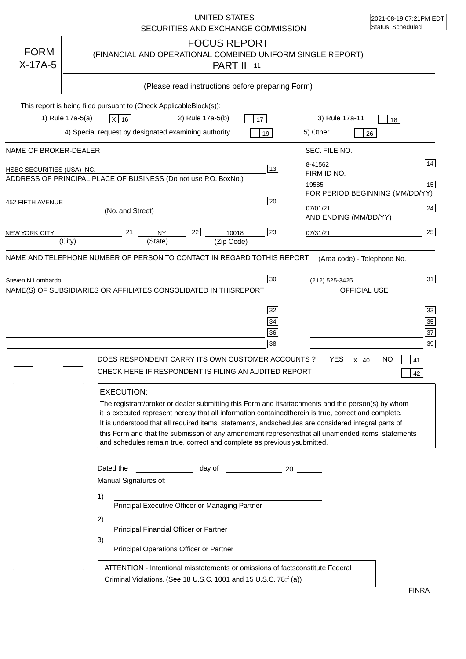|                            | UNITED STATES<br>SECURITIES AND EXCHANGE COMMISSION                                                                                                                                                                                                                                                                                                                                                                                                                                                                                                                                                                                                                      | 2021-08-19 07:21PM EDT<br>Status: Scheduled                                                                                                                                                                   |
|----------------------------|--------------------------------------------------------------------------------------------------------------------------------------------------------------------------------------------------------------------------------------------------------------------------------------------------------------------------------------------------------------------------------------------------------------------------------------------------------------------------------------------------------------------------------------------------------------------------------------------------------------------------------------------------------------------------|---------------------------------------------------------------------------------------------------------------------------------------------------------------------------------------------------------------|
| <b>FORM</b><br>$X-17A-5$   | <b>FOCUS REPORT</b><br>(FINANCIAL AND OPERATIONAL COMBINED UNIFORM SINGLE REPORT)<br><b>PART II</b> 11                                                                                                                                                                                                                                                                                                                                                                                                                                                                                                                                                                   |                                                                                                                                                                                                               |
|                            | (Please read instructions before preparing Form)                                                                                                                                                                                                                                                                                                                                                                                                                                                                                                                                                                                                                         |                                                                                                                                                                                                               |
|                            | This report is being filed pursuant to (Check Applicable<br>$Block(s)$ :<br>1) Rule 17a-5(a)<br>3) Rule 17a-11<br>2) Rule 17a-5(b)<br>X 16<br>17<br>4) Special request by designated examining authority<br>5) Other<br>19                                                                                                                                                                                                                                                                                                                                                                                                                                               | 18<br>26                                                                                                                                                                                                      |
| NAME OF BROKER-DEALER      | SEC. FILE NO.                                                                                                                                                                                                                                                                                                                                                                                                                                                                                                                                                                                                                                                            |                                                                                                                                                                                                               |
| HSBC SECURITIES (USA) INC. | 8-41562<br>$\overline{13}$<br>FIRM ID NO.<br>ADDRESS OF PRINCIPAL PLACE OF BUSINESS (Do not use P.O. Box<br>No.)<br>19585                                                                                                                                                                                                                                                                                                                                                                                                                                                                                                                                                | 14<br>15<br>FOR PERIOD BEGINNING (MM/DD/YY)                                                                                                                                                                   |
| 452 FIFTH AVENUE           | 20<br>07/01/21<br>(No. and Street)<br>AND ENDING (MM/DD/YY)                                                                                                                                                                                                                                                                                                                                                                                                                                                                                                                                                                                                              | 24                                                                                                                                                                                                            |
| <b>NEW YORK CITY</b>       | 22<br>23<br>21<br><b>NY</b><br>10018<br>07/31/21<br>(State)<br>(City)<br>(Zip Code)                                                                                                                                                                                                                                                                                                                                                                                                                                                                                                                                                                                      | 25                                                                                                                                                                                                            |
| Steven N Lombardo          | $30\,$<br>(212) 525-3425<br>NAME(S) OF SUBSIDIARIES OR AFFILIATES CONSOLIDATED IN THIS<br><b>REPORT</b><br>32<br>34<br>36<br>38<br>DOES RESPONDENT CARRY ITS OWN CUSTOMER ACCOUNTS ?<br><b>YES</b><br>CHECK HERE IF RESPONDENT IS FILING AN AUDITED REPORT<br><b>EXECUTION:</b><br>The registrant/broker or dealer submitting this Form and its<br>it is executed represent hereby that all information contained<br>It is understood that all required items, statements, and schedules are considered integral parts of<br>this Form and that the submisson of any amendment represents<br>and schedules remain true, correct and complete as previously<br>submitted. | 31<br>OFFICIAL USE<br>33<br>35<br>37<br>39<br>NO<br>$\mathsf{X}$<br>40<br>41<br>42<br>attachments and the person(s) by whom<br>therein is true, correct and complete.<br>that all unamended items, statements |
|                            | Dated the<br>day of<br>20<br>Manual Signatures of:<br>1)<br>Principal Executive Officer or Managing Partner<br>2)<br>Principal Financial Officer or Partner<br>3)<br>Principal Operations Officer or Partner<br>ATTENTION - Intentional misstatements or omissions of facts<br>constitute Federal<br>Criminal Violations. (See 18 U.S.C. 1001 and 15 U.S.C. 78:f (a)                                                                                                                                                                                                                                                                                                     |                                                                                                                                                                                                               |
|                            |                                                                                                                                                                                                                                                                                                                                                                                                                                                                                                                                                                                                                                                                          | <b>FINRA</b>                                                                                                                                                                                                  |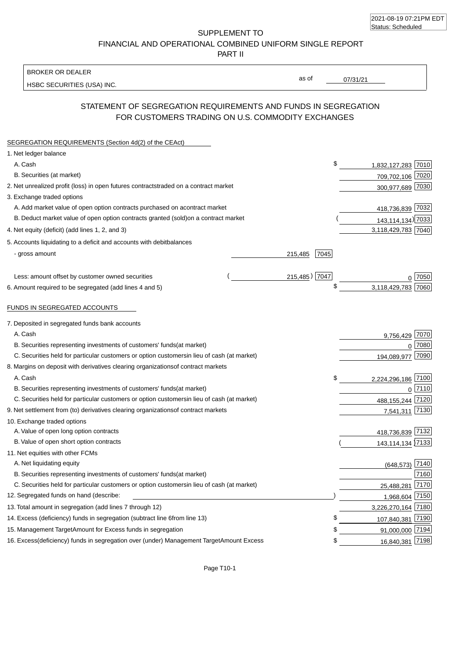SUPPLEMENT TO FINANCIAL AND OPERATIONAL COMBINED UNIFORM SINGLE REPORT

PART II

#### BROKER OR DEALER

HSBC SECURITIES (USA) INC.

07/31/21

as of

# STATEMENT OF SEGREGATION REQUIREMENTS AND FUNDS IN SEGREGATION FOR CUSTOMERS TRADING ON U.S. COMMODITY EXCHANGES

| SEGREGATION REQUIREMENTS (Section 4d(2) of the CEAct)                                          |                 |                    |              |
|------------------------------------------------------------------------------------------------|-----------------|--------------------|--------------|
| 1. Net ledger balance                                                                          |                 |                    |              |
| A. Cash                                                                                        | \$              | 1,832,127,283      | 7010         |
| B. Securities (at market)                                                                      |                 | 709,702,106        | 7020         |
| 2. Net unrealized profit (loss) in open futures contracts<br>traded on a contract market       |                 | 300,977,689 7030   |              |
| 3. Exchange traded options                                                                     |                 |                    |              |
| A. Add market value of open option contracts purchased on a<br>contract market                 |                 | 418,736,839 7032   |              |
| B. Deduct market value of open option contracts granted (sold)<br>on a contract market         |                 | 143,114,134) 7033  |              |
| 4. Net equity (deficit) (add lines 1, 2, and 3)                                                |                 | 3,118,429,783 7040 |              |
| 5. Accounts liquidating to a deficit and accounts with debit<br>balances                       |                 |                    |              |
| - gross amount                                                                                 | 7045<br>215,485 |                    |              |
| Less: amount offset by customer owned securities                                               | 215,485) 7047   |                    | 7050         |
| 6. Amount required to be segregated (add lines 4 and 5)                                        | \$              | 3,118,429,783 7060 |              |
| FUNDS IN SEGREGATED ACCOUNTS                                                                   |                 |                    |              |
| 7. Deposited in segregated funds bank accounts                                                 |                 |                    |              |
| A. Cash                                                                                        |                 | 9,756,429 7070     |              |
| B. Securities representing investments of customers' funds<br>(at market)                      |                 |                    | $0$ 7080     |
| C. Securities held for particular customers or option customers<br>in lieu of cash (at market) |                 | 194,089,977 7090   |              |
| 8. Margins on deposit with derivatives clearing organizations<br>of contract markets           |                 |                    |              |
| A. Cash                                                                                        | \$              | 2,224,296,186 7100 |              |
| B. Securities representing investments of customers' funds<br>(at market)                      |                 |                    | $0$   $7110$ |
| C. Securities held for particular customers or option customers<br>in lieu of cash (at market) |                 | 488, 155, 244      | 7120         |
| 9. Net settlement from (to) derivatives clearing organizations<br>of contract markets          |                 | 7,541,311          | 7130         |
| 10. Exchange traded options                                                                    |                 |                    |              |
| A. Value of open long option contracts                                                         |                 | 418,736,839 7132   |              |
| B. Value of open short option contracts                                                        |                 | 143, 114, 134 7133 |              |
| 11. Net equities with other FCMs                                                               |                 |                    |              |
| A. Net liquidating equity                                                                      |                 | (648, 573)         | 7140         |
| B. Securities representing investments of customers' funds<br>(at market)                      |                 |                    | 7160         |
| C. Securities held for particular customers or option customers<br>in lieu of cash (at market) |                 | 25,488,281         | 7170         |
| 12. Segregated funds on hand (describe:                                                        |                 | 1,968,604 7150     |              |
| 13. Total amount in segregation (add lines 7 through 12)                                       |                 | 3,226,270,164 7180 |              |
| 14. Excess (deficiency) funds in segregation (subtract line 6<br>from line 13)                 | \$              | 107,840,381 7190   |              |
| 15. Management Target Amount for Excess funds in segregation                                   | \$              | 91,000,000 7194    |              |
| 16. Excess<br>(deficiency) funds in segregation over (under) Management Target Amount Excess   | \$              | 16,840,381 7198    |              |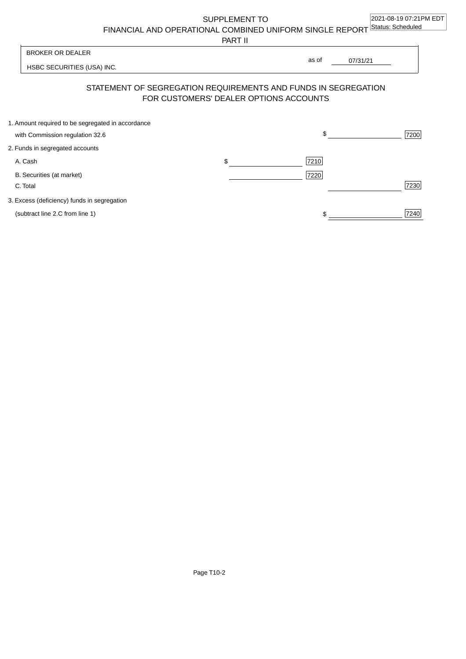SUPPLEMENT TO

FINANCIAL AND OPERATIONAL COMBINED UNIFORM SINGLE REPORT Status: Scheduled

PART II

BROKER OR DEALER

HSBC SECURITIES (USA) INC.

07/31/21 as of

## STATEMENT OF SEGREGATION REQUIREMENTS AND FUNDS IN SEGREGATION FOR CUSTOMERS' DEALER OPTIONS ACCOUNTS

| 1. Amount required to be segregated in accordance |            |      |
|---------------------------------------------------|------------|------|
| with Commission regulation 32.6                   | \$         | 7200 |
| 2. Funds in segregated accounts                   |            |      |
| A. Cash                                           | \$<br>7210 |      |
| B. Securities (at market)                         | 7220       |      |
| C. Total                                          |            | 7230 |
| 3. Excess (deficiency) funds in segregation       |            |      |
| (subtract line 2.C from line 1)                   |            | 7240 |
|                                                   |            |      |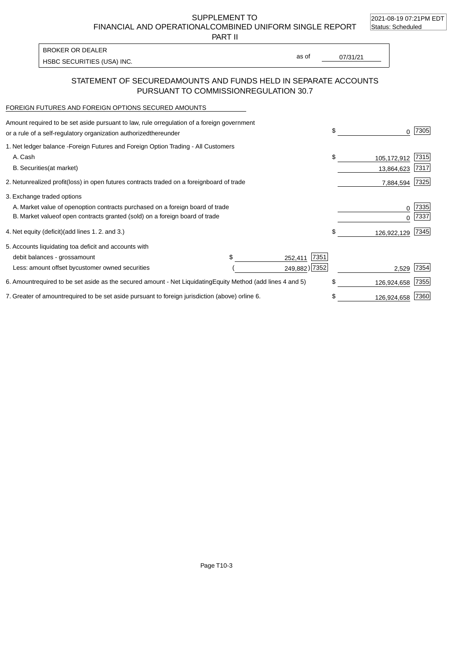2021-08-19 07:21PM EDT

SUPPLEMENT TO FINANCIAL AND OPERATIONAL COMBINED UNIFORM SINGLE REPORT Status: Scheduled

PART II

| <b>BROKER OR DEALER</b>    |       |          |
|----------------------------|-------|----------|
|                            | as of | 07/31/21 |
| HSBC SECURITIES (USA) INC. |       |          |

### STATEMENT OF SECURED AMOUNTS AND FUNDS HELD IN SEPARATE ACCOUNTS PURSUANT TO COMMISSION REGULATION 30.7

#### FOREIGN FUTURES AND FOREIGN OPTIONS SECURED AMOUNTS

| Amount required to be set aside pursuant to law, rule or<br>regulation of a foreign government<br>or a rule of a self-regulatory organization authorized<br>thereunder                       |                                   |                 | \$<br>O.                        | 7305         |
|----------------------------------------------------------------------------------------------------------------------------------------------------------------------------------------------|-----------------------------------|-----------------|---------------------------------|--------------|
| 1. Net ledger balance - Foreign Futures and Foreign Option Trading - All Customers<br>A. Cash<br><b>B.</b> Securities<br>(at market)                                                         |                                   |                 | \$<br>105,172,912<br>13,864,623 | 7315<br>7317 |
| 2. Net unrealized profit (loss) in open futures contracts traded on a foreign                                                                                                                | board of trade                    |                 | 7,884,594                       | 7325         |
| 3. Exchange traded options<br>A. Market value of open option contracts purchased on a foreign board of trade<br>B. Market value of open contracts granted (sold) on a foreign board of trade |                                   |                 | 0<br><sup>0</sup>               | 7335<br>7337 |
| 4. Net equity (deficit) (add lines 1.2. and 3.)                                                                                                                                              |                                   |                 | \$<br>126,922,129               | 7345         |
| 5. Accounts liquidating to a deficit and accounts with<br>debit balances - gross<br>amount                                                                                                   |                                   | 7351<br>252,411 |                                 |              |
| Less: amount offset by customer owned securities                                                                                                                                             |                                   | 249,882) 7352   | 2,529                           | 7354         |
| 6. Amount required to be set aside as the secured amount - Net Liquidating                                                                                                                   | Equity Method (add lines 4 and 5) |                 | \$<br>126,924,658               | 7355         |
| 7. Greater of amount required to be set aside pursuant to foreign jurisdiction (above) or                                                                                                    | line 6.                           |                 | \$<br>126,924,658               | 7360         |

Page T10-3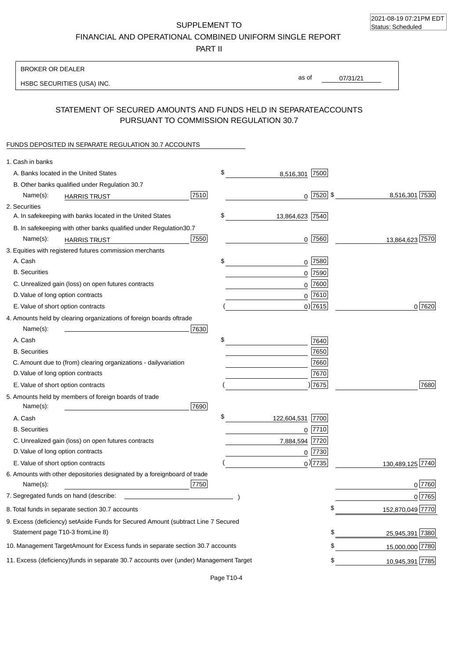2021-08-19 07:21PM EDT Status: Scheduled

SUPPLEMENT TO FINANCIAL AND OPERATIONAL COMBINED UNIFORM SINGLE REPORT

PART II

| <b>BROKER OR DEALER</b>                                                                           |                        |                                         |
|---------------------------------------------------------------------------------------------------|------------------------|-----------------------------------------|
| HSBC SECURITIES (USA) INC.                                                                        | as of                  | 07/31/21                                |
|                                                                                                   |                        |                                         |
| STATEMENT OF SECURED AMOUNTS AND FUNDS HELD IN SEPARATE<br>PURSUANT TO COMMISSION REGULATION 30.7 |                        | <b>ACCOUNTS</b>                         |
| FUNDS DEPOSITED IN SEPARATE REGULATION 30.7 ACCOUNTS                                              |                        |                                         |
| 1. Cash in banks                                                                                  |                        |                                         |
| A. Banks located in the United States                                                             | \$<br>8,516,301 7500   |                                         |
| B. Other banks qualified under Regulation 30.7                                                    |                        |                                         |
| 7510<br>Name(s):<br><b>HARRIS TRUST</b>                                                           |                        | $0 \mid 7520 \mid$ \$<br>8,516,301 7530 |
| 2. Securities                                                                                     |                        |                                         |
| A. In safekeeping with banks located in the United States                                         | \$<br>13,864,623 7540  |                                         |
| B. In safekeeping with other banks qualified under Regulation<br>30.7                             |                        |                                         |
| 7550<br>Name(s):<br><b>HARRIS TRUST</b>                                                           | $0$ 7560               | 13,864,623 7570                         |
| 3. Equities with registered futures commission merchants                                          |                        |                                         |
| A. Cash                                                                                           | $0$ 7580<br>\$         |                                         |
| <b>B.</b> Securities                                                                              | $0$ 7590               |                                         |
| C. Unrealized gain (loss) on open futures contracts                                               | 7600<br>$\Omega$       |                                         |
| D. Value of long option contracts                                                                 | 7610<br>0              |                                         |
| E. Value of short option contracts                                                                | $0)$ 7615              | 0 7620                                  |
| 4. Amounts held by clearing organizations of foreign boards of<br>trade                           |                        |                                         |
| Name(s):<br>7630                                                                                  |                        |                                         |
| A. Cash                                                                                           | \$<br>7640             |                                         |
| <b>B.</b> Securities                                                                              | 7650                   |                                         |
| C. Amount due to (from) clearing organizations - daily<br>variation                               | 7660                   |                                         |
| D. Value of long option contracts                                                                 | 7670                   |                                         |
| E. Value of short option contracts                                                                | 7675                   | 7680                                    |
| 5. Amounts held by members of foreign boards of trade<br>Name(s):<br>7690                         |                        |                                         |
| A. Cash                                                                                           | \$<br>122,604,531 7700 |                                         |
| <b>B.</b> Securities                                                                              | 7710<br>0              |                                         |
| C. Unrealized gain (loss) on open futures contracts                                               | 7,884,594 7720         |                                         |
| D. Value of long option contracts                                                                 | $0$ 7730               |                                         |
| E. Value of short option contracts                                                                | $_0)$ 7735             | 130,489,125 7740                        |
| 6. Amounts with other depositories designated by a foreign<br>board of trade<br>7750<br>Name(s):  |                        | 0 7760                                  |
| 7. Segregated funds on hand (describe:                                                            |                        | 0 7765                                  |
| 8. Total funds in separate section 30.7 accounts                                                  |                        | 152,870,049 7770                        |
| 9. Excess (deficiency) set Aside Funds for Secured Amount (subtract Line 7 Secured                |                        |                                         |
| Statement page T10-3 from Line 8)                                                                 |                        | \$<br>25,945,391 7380                   |
| 10. Management Target Amount for Excess funds in separate section 30.7 accounts                   |                        | 15,000,000 7780<br>\$                   |
| 11. Excess (deficiency) funds in separate 30.7 accounts over (under) Management Target            |                        | \$<br>10,945,391 7785                   |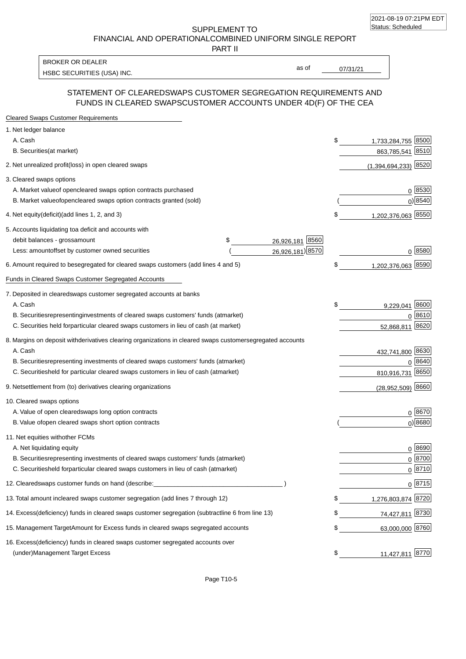SUPPLEMENT TO FINANCIAL AND OPERATIONAL COMBINED UNIFORM SINGLE REPORT

PART II

HSBC SECURITIES (USA) INC. The second of the second of the second of the second of the second of the second of the second of the second of the second of the second of the second of the second of the second of the second of BROKER OR DEALER

as of

### STATEMENT OF CLEARED SWAPS CUSTOMER SEGREGATION REQUIREMENTS AND FUNDS IN CLEARED SWAPS CUSTOMER ACCOUNTS UNDER 4D(F) OF THE CEA

| <b>Cleared Swaps Customer Requirements</b>                                                                  |    |                        |
|-------------------------------------------------------------------------------------------------------------|----|------------------------|
| 1. Net ledger balance                                                                                       |    |                        |
| A. Cash                                                                                                     | \$ | 8500<br>1,733,284,755  |
| B. Securities (at market)                                                                                   |    | 8510<br>863,785,541    |
| 2. Net unrealized profit (loss) in open cleared swaps                                                       |    | $(1,394,694,233)$ 8520 |
| 3. Cleared swaps options                                                                                    |    |                        |
| A. Market value of open cleared swaps option contracts purchased                                            |    | 0   8530               |
| B. Market value of open cleared swaps option contracts granted (sold)                                       |    | $0)$ 8540              |
| 4. Net equity (deficit) (add lines 1, 2, and 3)                                                             | \$ | 1,202,376,063 8550     |
| 5. Accounts liquidating to a deficit and accounts with                                                      |    |                        |
| 26,926,181 8560<br>debit balances - gross amount<br>\$                                                      |    |                        |
| 26,926,181) 8570<br>Less: amount offset by customer owned securities                                        |    | 0 8580                 |
| 6. Amount required to be segregated for cleared swaps customers (add lines 4 and 5)                         | \$ | 1,202,376,063 8590     |
| Funds in Cleared Swaps Customer Segregated Accounts                                                         |    |                        |
| 7. Deposited in cleared swaps customer segregated accounts at banks                                         |    |                        |
| A. Cash                                                                                                     | \$ | 8600<br>9,229,041      |
| B. Securities representing investments of cleared swaps customers' funds (at market)                        |    | 0 8610                 |
| C. Securities held for particular cleared swaps customers in lieu of cash (at market)                       |    | 52,868,811 8620        |
| 8. Margins on deposit with derivatives clearing organizations in cleared swaps customer segregated accounts |    |                        |
| A. Cash                                                                                                     |    | 432,741,800 8630       |
| B. Securities representing investments of cleared swaps customers' funds (at market)                        |    | 8640<br>0              |
| C. Securities<br>held for particular cleared swaps customers in lieu of cash (at market)                    |    | 8650<br>810,916,731    |
| 9. Net settlement from (to) derivatives clearing organizations                                              |    | $(28,952,509)$ 8660    |
| 10. Cleared swaps options                                                                                   |    |                        |
| A. Value of open cleared swaps long option contracts                                                        |    | $0^{8670}$             |
| B. Value of open cleared swaps short option contracts                                                       |    | $0$ ) 8680             |
| 11. Net equities with other FCMs                                                                            |    |                        |
| A. Net liquidating equity                                                                                   |    | $0^{8690}$             |
| B. Securities representing investments of cleared swaps customers' funds (at market)                        |    | $0^{8700}$             |
| C. Securities held for particular cleared swaps customers in lieu of cash (at market)                       |    | 0 8710                 |
| 12. Cleared swaps customer funds on hand (describe:                                                         |    | $0 \;  8715 $          |
| 13. Total amount in cleared swaps customer segregation (add lines 7 through 12)                             | S  | 1,276,803,874 8720     |
| 14. Excess (deficiency) funds in cleared swaps customer segregation (subtract line 6 from line 13)          |    | 74,427,811 8730        |
| 15. Management Target Amount for Excess funds in cleared swaps segregated accounts                          | \$ | 63,000,000 8760        |
| 16. Excess<br>(deficiency) funds in cleared swaps customer segregated accounts over                         |    |                        |
| <b>Management Target Excess</b><br>(under)                                                                  | \$ | 11,427,811 8770        |